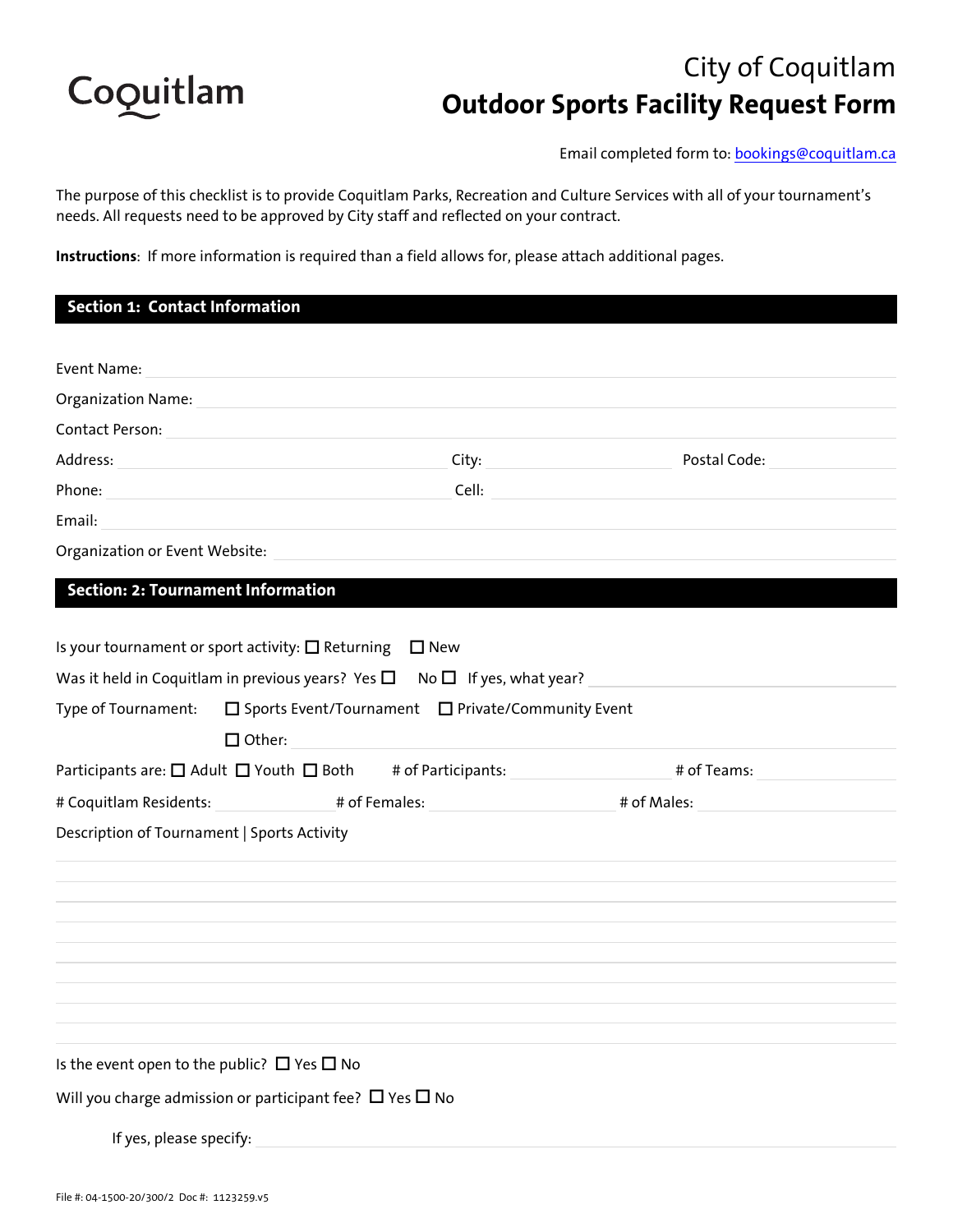

# City of Coquitlam **Outdoor Sports Facility Request Form**

Email completed form to: bookings@coquitlam.ca

The purpose of this checklist is to provide Coquitlam Parks, Recreation and Culture Services with all of your tournament's needs. All requests need to be approved by City staff and reflected on your contract.

**Instructions**: If more information is required than a field allows for, please attach additional pages.

| Section 1: Contact Information                                                                                                                                                                                                 |               |                                                                                                                                                                         |  |
|--------------------------------------------------------------------------------------------------------------------------------------------------------------------------------------------------------------------------------|---------------|-------------------------------------------------------------------------------------------------------------------------------------------------------------------------|--|
|                                                                                                                                                                                                                                |               |                                                                                                                                                                         |  |
| Event Name:                                                                                                                                                                                                                    |               |                                                                                                                                                                         |  |
| Organization Name: Name and Alexander Annual Account of the Alexander Account of the Alexander Account of the                                                                                                                  |               |                                                                                                                                                                         |  |
| Contact Person: All Allen Contact Person:                                                                                                                                                                                      |               |                                                                                                                                                                         |  |
| Address: Andress: Address: Address: Address: Address: Address: Address: Address: Address: Address: Address: Address: Address: Address: Address: Address: Address: Address: Address: Address: Address: Address: Address: Addres |               |                                                                                                                                                                         |  |
|                                                                                                                                                                                                                                |               | Cell: <b>Cell Cell Cell Cell Cell Cell Cell Cell Cell Cell Cell Cell Cell Cell Cell Cell Cell Cell Cell Cell Cell Cell Cell Cell Cell Cell Cell Cell Cell Cell Cell</b> |  |
|                                                                                                                                                                                                                                |               |                                                                                                                                                                         |  |
|                                                                                                                                                                                                                                |               |                                                                                                                                                                         |  |
| <b>Section: 2: Tournament Information</b>                                                                                                                                                                                      |               |                                                                                                                                                                         |  |
|                                                                                                                                                                                                                                |               |                                                                                                                                                                         |  |
| Is your tournament or sport activity: $\Box$ Returning $\Box$ New                                                                                                                                                              |               |                                                                                                                                                                         |  |
| Was it held in Coquitlam in previous years? Yes $\square$ No $\square$ If yes, what year?                                                                                                                                      |               |                                                                                                                                                                         |  |
| Type of Tournament: $\Box$ Sports Event/Tournament $\Box$ Private/Community Event                                                                                                                                              |               |                                                                                                                                                                         |  |
|                                                                                                                                                                                                                                | $\Box$ Other: |                                                                                                                                                                         |  |
|                                                                                                                                                                                                                                |               |                                                                                                                                                                         |  |
|                                                                                                                                                                                                                                |               |                                                                                                                                                                         |  |
| Description of Tournament   Sports Activity                                                                                                                                                                                    |               |                                                                                                                                                                         |  |
|                                                                                                                                                                                                                                |               |                                                                                                                                                                         |  |
|                                                                                                                                                                                                                                |               |                                                                                                                                                                         |  |
|                                                                                                                                                                                                                                |               |                                                                                                                                                                         |  |
|                                                                                                                                                                                                                                |               |                                                                                                                                                                         |  |
|                                                                                                                                                                                                                                |               |                                                                                                                                                                         |  |
|                                                                                                                                                                                                                                |               |                                                                                                                                                                         |  |
|                                                                                                                                                                                                                                |               |                                                                                                                                                                         |  |
|                                                                                                                                                                                                                                |               |                                                                                                                                                                         |  |
| Is the event open to the public? $\Box$ Yes $\Box$ No                                                                                                                                                                          |               |                                                                                                                                                                         |  |
| Will you charge admission or participant fee? $\Box$ Yes $\Box$ No                                                                                                                                                             |               |                                                                                                                                                                         |  |
| If yes, please specify:                                                                                                                                                                                                        |               |                                                                                                                                                                         |  |
|                                                                                                                                                                                                                                |               |                                                                                                                                                                         |  |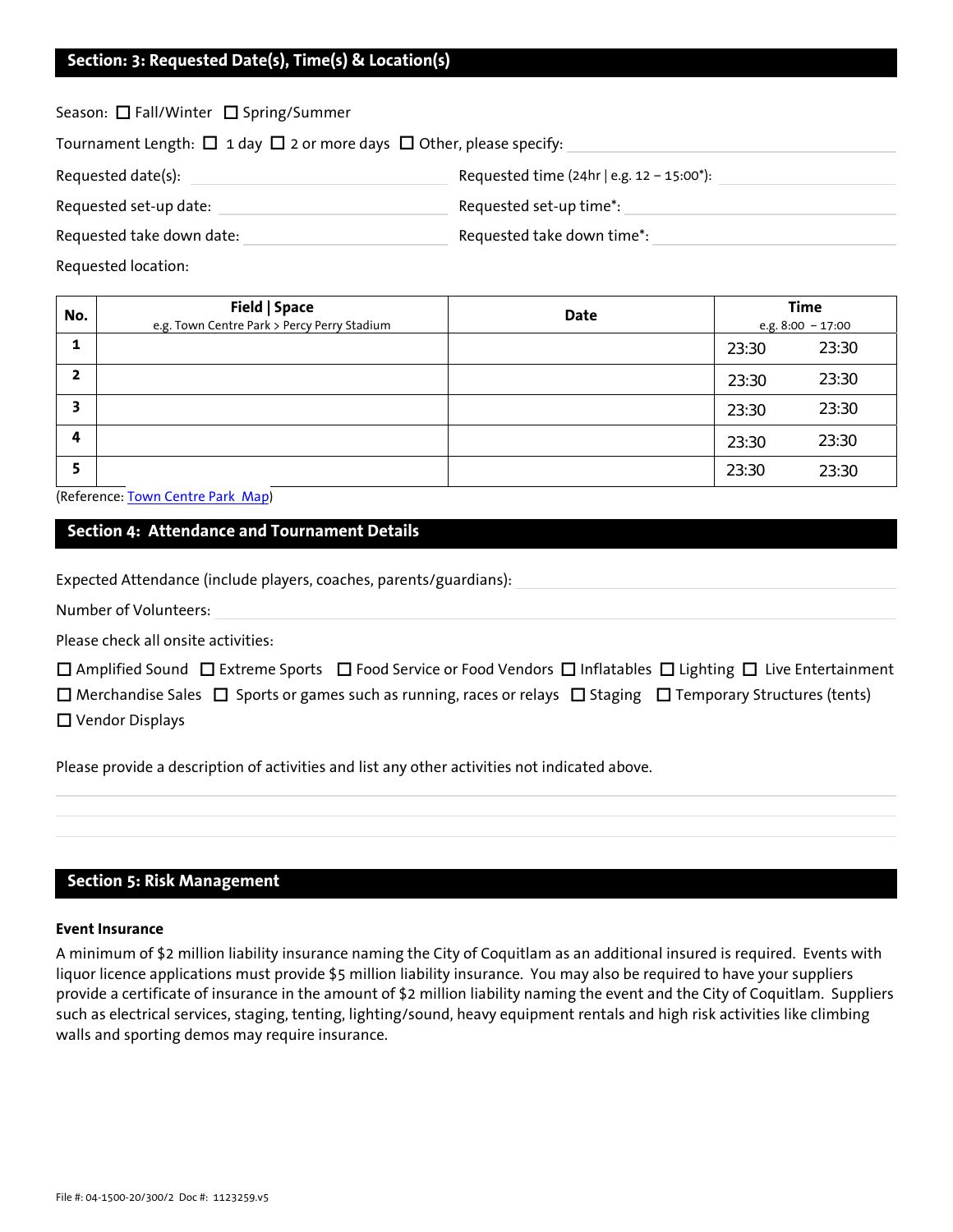## **Section: 3: Requested Date(s), Time(s) & Location(s)**

Season:  $\square$  Fall/Winter  $\square$  Spring/Summer

Tournament Length:  $\Box$  1 day  $\Box$  2 or more days  $\Box$  Other, please specify:

| Requested date(s):        | Requested time $(24hr \mid e.g. 12 - 15:00^*)$ : |  |
|---------------------------|--------------------------------------------------|--|
| Requested set-up date:    | Requested set-up time <sup>*</sup> :             |  |
| Requested take down date: | Requested take down time*:                       |  |

Requested location:

| No. | Field   Space<br>e.g. Town Centre Park > Percy Perry Stadium | Date | <b>Time</b><br>e.g. $8:00 - 17:00$ |       |
|-----|--------------------------------------------------------------|------|------------------------------------|-------|
| 1   |                                                              |      | 23:30                              | 23:30 |
| 2   |                                                              |      | 23:30                              | 23:30 |
| 3   |                                                              |      | 23:30                              | 23:30 |
| 4   |                                                              |      | 23:30                              | 23:30 |
| 5   |                                                              |      | 23:30                              | 23:30 |

(Reference: [Town Centre Park Map\)](http://tinyurl.com/hpqwth5)

## **Section 4: Attendance and Tournament Details**

Expected Attendance (include players, coaches, parents/guardians):

Number of Volunteers:

Please check all onsite activities:

|                        |                                                                                                                                     | $\Box$ Amplified Sound $\Box$ Extreme Sports $\Box$ Food Service or Food Vendors $\Box$ Inflatables $\Box$ Lighting $\Box$ Live Entertainment |
|------------------------|-------------------------------------------------------------------------------------------------------------------------------------|-----------------------------------------------------------------------------------------------------------------------------------------------|
|                        | $\Box$ Merchandise Sales $\Box$ Sports or games such as running, races or relays $\Box$ Staging $\Box$ Temporary Structures (tents) |                                                                                                                                               |
| $\Box$ Vendor Displays |                                                                                                                                     |                                                                                                                                               |

Please provide a description of activities and list any other activities not indicated above.

## **Section 5: Risk Management**

### **Event Insurance**

A minimum of \$2 million liability insurance naming the City of Coquitlam as an additional insured is required. Events with liquor licence applications must provide \$5 million liability insurance. You may also be required to have your suppliers provide a certificate of insurance in the amount of \$2 million liability naming the event and the City of Coquitlam. Suppliers such as electrical services, staging, tenting, lighting/sound, heavy equipment rentals and high risk activities like climbing walls and sporting demos may require insurance.